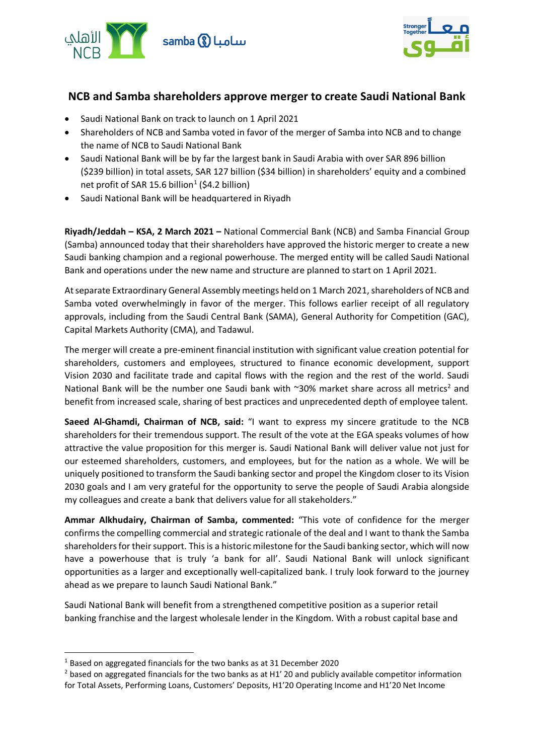



## **NCB and Samba shareholders approve merger to create Saudi National Bank**

- Saudi National Bank on track to launch on 1 April 2021
- Shareholders of NCB and Samba voted in favor of the merger of Samba into NCB and to change the name of NCB to Saudi National Bank
- Saudi National Bank will be by far the largest bank in Saudi Arabia with over SAR 896 billion (\$239 billion) in total assets, SAR 127 billion (\$34 billion) in shareholders' equity and a combined net profit of SAR [1](#page-0-0)5.6 billion<sup>1</sup> (\$4.2 billion)
- Saudi National Bank will be headquartered in Riyadh

**Riyadh/Jeddah – KSA, 2 March 2021 –** National Commercial Bank (NCB) and Samba Financial Group (Samba) announced today that their shareholders have approved the historic merger to create a new Saudi banking champion and a regional powerhouse. The merged entity will be called Saudi National Bank and operations under the new name and structure are planned to start on 1 April 2021.

At separate Extraordinary General Assembly meetings held on 1 March 2021, shareholders of NCB and Samba voted overwhelmingly in favor of the merger. This follows earlier receipt of all regulatory approvals, including from the Saudi Central Bank (SAMA), General Authority for Competition (GAC), Capital Markets Authority (CMA), and Tadawul.

The merger will create a pre-eminent financial institution with significant value creation potential for shareholders, customers and employees, structured to finance economic development, support Vision 2030 and facilitate trade and capital flows with the region and the rest of the world. Saudi National Bank will be the number one Saudi bank with  $\sim$ 30% market share across all metrics<sup>[2](#page-0-1)</sup> and benefit from increased scale, sharing of best practices and unprecedented depth of employee talent.

**Saeed Al-Ghamdi, Chairman of NCB, said:** "I want to express my sincere gratitude to the NCB shareholders for their tremendous support. The result of the vote at the EGA speaks volumes of how attractive the value proposition for this merger is. Saudi National Bank will deliver value not just for our esteemed shareholders, customers, and employees, but for the nation as a whole. We will be uniquely positioned to transform the Saudi banking sector and propel the Kingdom closer to its Vision 2030 goals and I am very grateful for the opportunity to serve the people of Saudi Arabia alongside my colleagues and create a bank that delivers value for all stakeholders."

**Ammar Alkhudairy, Chairman of Samba, commented:** "This vote of confidence for the merger confirms the compelling commercial and strategic rationale of the deal and I want to thank the Samba shareholders for their support. This is a historic milestone for the Saudi banking sector, which will now have a powerhouse that is truly 'a bank for all'. Saudi National Bank will unlock significant opportunities as a larger and exceptionally well-capitalized bank. I truly look forward to the journey ahead as we prepare to launch Saudi National Bank."

Saudi National Bank will benefit from a strengthened competitive position as a superior retail banking franchise and the largest wholesale lender in the Kingdom. With a robust capital base and

<span id="page-0-0"></span><sup>1</sup> Based on aggregated financials for the two banks as at 31 December 2020

<span id="page-0-1"></span><sup>&</sup>lt;sup>2</sup> based on aggregated financials for the two banks as at H1' 20 and publicly available competitor information for Total Assets, Performing Loans, Customers' Deposits, H1'20 Operating Income and H1'20 Net Income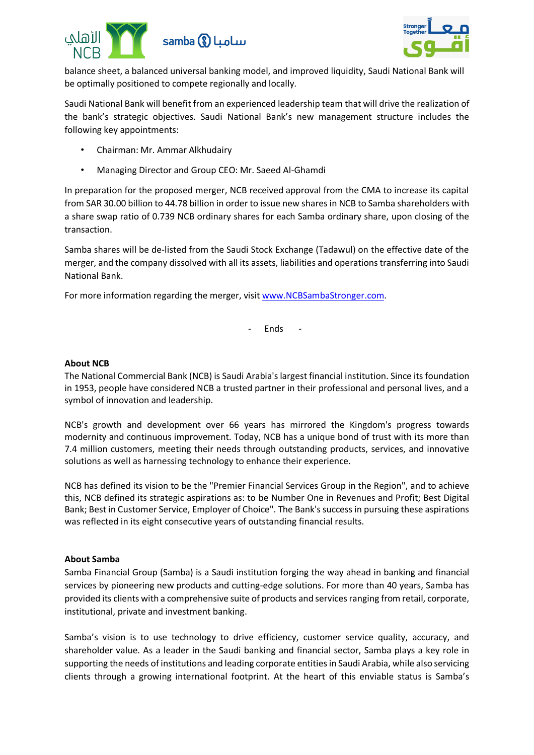



balance sheet, a balanced universal banking model, and improved liquidity, Saudi National Bank will be optimally positioned to compete regionally and locally.

Saudi National Bank will benefit from an experienced leadership team that will drive the realization of the bank's strategic objectives. Saudi National Bank's new management structure includes the following key appointments:

- Chairman: Mr. Ammar Alkhudairy
- Managing Director and Group CEO: Mr. Saeed Al-Ghamdi

In preparation for the proposed merger, NCB received approval from the CMA to increase its capital from SAR 30.00 billion to 44.78 billion in order to issue new shares in NCB to Samba shareholders with a share swap ratio of 0.739 NCB ordinary shares for each Samba ordinary share, upon closing of the transaction.

Samba shares will be de-listed from the Saudi Stock Exchange (Tadawul) on the effective date of the merger, and the company dissolved with all its assets, liabilities and operations transferring into Saudi National Bank.

For more information regarding the merger, visit [www.NCBSambaStronger.com.](http://www.ncbsambastronger.com/)

- Ends -

## **About NCB**

The National Commercial Bank (NCB) is Saudi Arabia's largest financial institution. Since its foundation in 1953, people have considered NCB a trusted partner in their professional and personal lives, and a symbol of innovation and leadership.

NCB's growth and development over 66 years has mirrored the Kingdom's progress towards modernity and continuous improvement. Today, NCB has a unique bond of trust with its more than 7.4 million customers, meeting their needs through outstanding products, services, and innovative solutions as well as harnessing technology to enhance their experience.

NCB has defined its vision to be the "Premier Financial Services Group in the Region", and to achieve this, NCB defined its strategic aspirations as: to be Number One in Revenues and Profit; Best Digital Bank; Best in Customer Service, Employer of Choice". The Bank's success in pursuing these aspirations was reflected in its eight consecutive years of outstanding financial results.

## **About Samba**

Samba Financial Group (Samba) is a Saudi institution forging the way ahead in banking and financial services by pioneering new products and cutting-edge solutions. For more than 40 years, Samba has provided its clients with a comprehensive suite of products and services ranging from retail, corporate, institutional, private and investment banking.

Samba's vision is to use technology to drive efficiency, customer service quality, accuracy, and shareholder value. As a leader in the Saudi banking and financial sector, Samba plays a key role in supporting the needs of institutions and leading corporate entities in Saudi Arabia, while also servicing clients through a growing international footprint. At the heart of this enviable status is Samba's